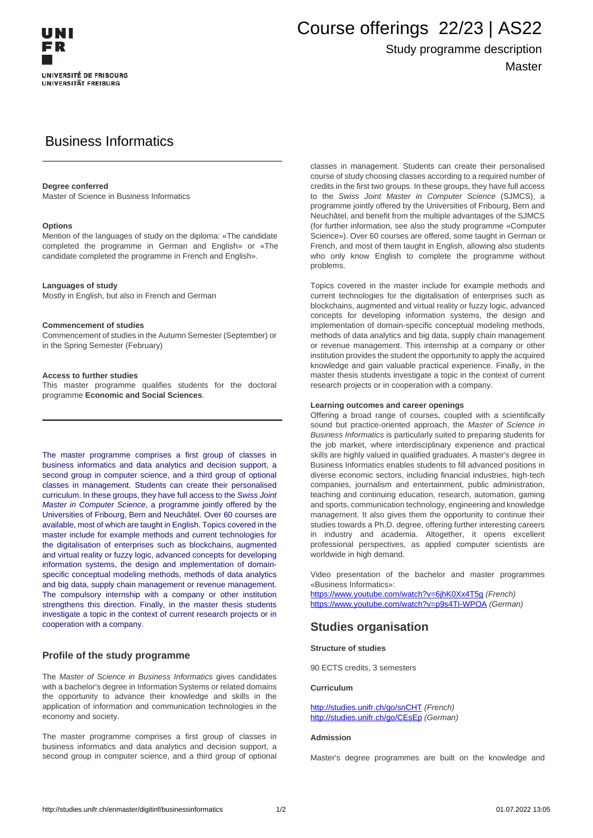

# Course offerings 22/23 | AS22

## Study programme description Master

## Business Informatics

#### **Degree conferred**

Master of Science in Business Informatics

#### **Options**

Mention of the languages of study on the diploma: «The candidate completed the programme in German and English» or «The candidate completed the programme in French and English».

#### **Languages of study**

Mostly in English, but also in French and German

#### **Commencement of studies**

Commencement of studies in the Autumn Semester (September) or in the Spring Semester (February)

#### **Access to further studies**

This master programme qualifies students for the doctoral programme **Economic and Social Sciences**.

The master programme comprises a first group of classes in business informatics and data analytics and decision support, a second group in computer science, and a third group of optional classes in management. Students can create their personalised curriculum. In these groups, they have full access to the Swiss Joint Master in Computer Science, a programme jointly offered by the Universities of Fribourg, Bern and Neuchâtel. Over 60 courses are available, most of which are taught in English. Topics covered in the master include for example methods and current technologies for the digitalisation of enterprises such as blockchains, augmented and virtual reality or fuzzy logic, advanced concepts for developing information systems, the design and implementation of domainspecific conceptual modeling methods, methods of data analytics and big data, supply chain management or revenue management. The compulsory internship with a company or other institution strengthens this direction. Finally, in the master thesis students investigate a topic in the context of current research projects or in cooperation with a company.

#### **Profile of the study programme**

The Master of Science in Business Informatics gives candidates with a bachelor's degree in Information Systems or related domains the opportunity to advance their knowledge and skills in the application of information and communication technologies in the economy and society.

The master programme comprises a first group of classes in business informatics and data analytics and decision support, a second group in computer science, and a third group of optional classes in management. Students can create their personalised course of study choosing classes according to a required number of credits in the first two groups. In these groups, they have full access to the Swiss Joint Master in Computer Science (SJMCS), a programme jointly offered by the Universities of Fribourg, Bern and Neuchâtel, and benefit from the multiple advantages of the SJMCS (for further information, see also the study programme «Computer Science»). Over 60 courses are offered, some taught in German or French, and most of them taught in English, allowing also students who only know English to complete the programme without problems.

Topics covered in the master include for example methods and current technologies for the digitalisation of enterprises such as blockchains, augmented and virtual reality or fuzzy logic, advanced concepts for developing information systems, the design and implementation of domain-specific conceptual modeling methods, methods of data analytics and big data, supply chain management or revenue management. This internship at a company or other institution provides the student the opportunity to apply the acquired knowledge and gain valuable practical experience. Finally, in the master thesis students investigate a topic in the context of current research projects or in cooperation with a company.

#### **Learning outcomes and career openings**

Offering a broad range of courses, coupled with a scientifically sound but practice-oriented approach, the Master of Science in Business Informatics is particularly suited to preparing students for the job market, where interdisciplinary experience and practical skills are highly valued in qualified graduates. A master's degree in Business Informatics enables students to fill advanced positions in diverse economic sectors, including financial industries, high-tech companies, journalism and entertainment, public administration, teaching and continuing education, research, automation, gaming and sports, communication technology, engineering and knowledge management. It also gives them the opportunity to continue their studies towards a Ph.D. degree, offering further interesting careers in industry and academia. Altogether, it opens excellent professional perspectives, as applied computer scientists are worldwide in high demand.

Video presentation of the bachelor and master programmes «Business Informatics»:

<https://www.youtube.com/watch?v=6jhK0Xx4T5g> (French) https://www.youtube.com/watch?v=p9s4TI-WPOA (German)

### **Studies organisation**

#### **Structure of studies**

90 ECTS credits, 3 semesters

#### **Curriculum**

http://studies.unifr.ch/go/snCHT (French) http://studies.unifr.ch/go/CEsEp (German)

#### **Admission**

Master's degree programmes are built on the knowledge and